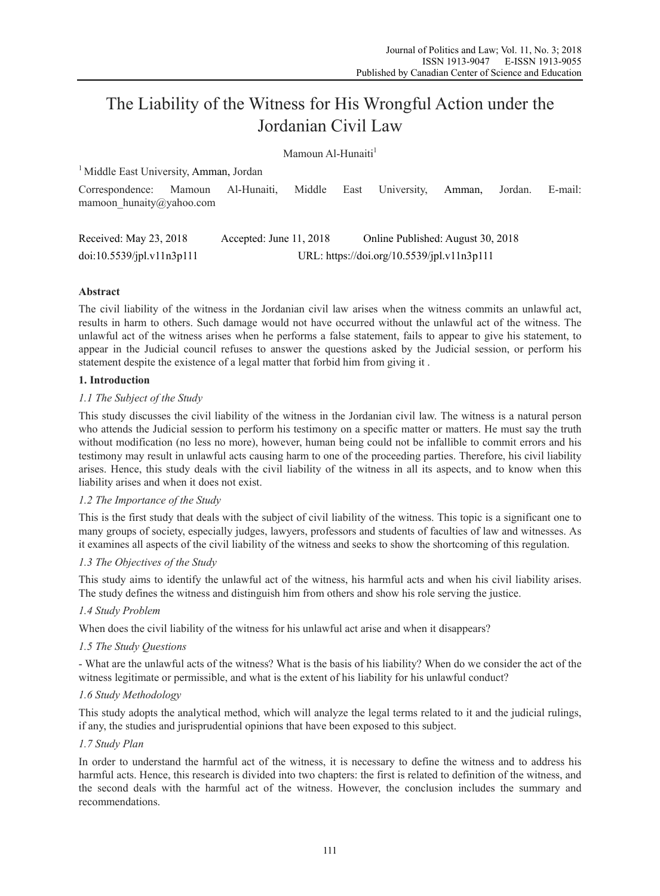# The Liability of the Witness for His Wrongful Action under the Jordanian Civil Law

Mamoun Al-Hunaiti<sup>1</sup>

<sup>1</sup> Middle East University, Amman, Jordan

Correspondence: Mamoun Al-Hunaiti, Middle East University, Amman, Jordan. E-mail: mamoon\_hunaity@yahoo.com

| Received: May 23, 2018    | Accepted: June 11, 2018                    | Online Published: August 30, 2018 |
|---------------------------|--------------------------------------------|-----------------------------------|
| doi:10.5539/ipl.v11n3p111 | URL: https://doi.org/10.5539/jpl.v11n3p111 |                                   |

# **Abstract**

The civil liability of the witness in the Jordanian civil law arises when the witness commits an unlawful act, results in harm to others. Such damage would not have occurred without the unlawful act of the witness. The unlawful act of the witness arises when he performs a false statement, fails to appear to give his statement, to appear in the Judicial council refuses to answer the questions asked by the Judicial session, or perform his statement despite the existence of a legal matter that forbid him from giving it .

# **1. Introduction**

# *1.1 The Subject of the Study*

This study discusses the civil liability of the witness in the Jordanian civil law. The witness is a natural person who attends the Judicial session to perform his testimony on a specific matter or matters. He must say the truth without modification (no less no more), however, human being could not be infallible to commit errors and his testimony may result in unlawful acts causing harm to one of the proceeding parties. Therefore, his civil liability arises. Hence, this study deals with the civil liability of the witness in all its aspects, and to know when this liability arises and when it does not exist.

# *1.2 The Importance of the Study*

This is the first study that deals with the subject of civil liability of the witness. This topic is a significant one to many groups of society, especially judges, lawyers, professors and students of faculties of law and witnesses. As it examines all aspects of the civil liability of the witness and seeks to show the shortcoming of this regulation.

# *1.3 The Objectives of the Study*

This study aims to identify the unlawful act of the witness, his harmful acts and when his civil liability arises. The study defines the witness and distinguish him from others and show his role serving the justice.

# *1.4 Study Problem*

When does the civil liability of the witness for his unlawful act arise and when it disappears?

# *1.5 The Study Questions*

- What are the unlawful acts of the witness? What is the basis of his liability? When do we consider the act of the witness legitimate or permissible, and what is the extent of his liability for his unlawful conduct?

# *1.6 Study Methodology*

This study adopts the analytical method, which will analyze the legal terms related to it and the judicial rulings, if any, the studies and jurisprudential opinions that have been exposed to this subject.

# *1.7 Study Plan*

In order to understand the harmful act of the witness, it is necessary to define the witness and to address his harmful acts. Hence, this research is divided into two chapters: the first is related to definition of the witness, and the second deals with the harmful act of the witness. However, the conclusion includes the summary and recommendations.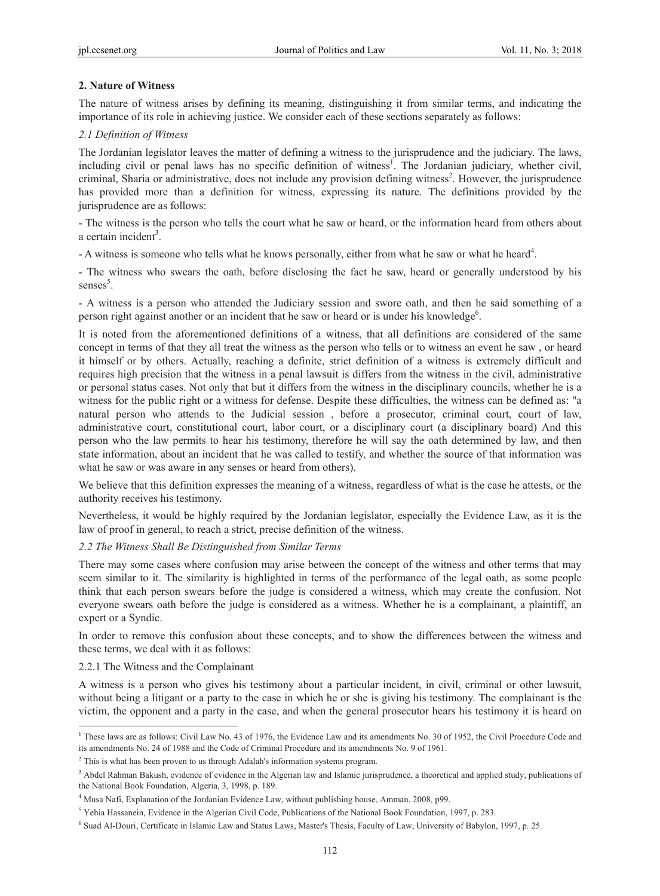# **2. Nature of Witness**

The nature of witness arises by defining its meaning, distinguishing it from similar terms, and indicating the importance of its role in achieving justice. We consider each of these sections separately as follows:

# *2.1 Definition of Witness*

The Jordanian legislator leaves the matter of defining a witness to the jurisprudence and the judiciary. The laws, including civil or penal laws has no specific definition of witness<sup>1</sup>. The Jordanian judiciary, whether civil, criminal, Sharia or administrative, does not include any provision defining witness<sup>2</sup>. However, the jurisprudence has provided more than a definition for witness, expressing its nature. The definitions provided by the jurisprudence are as follows:

- The witness is the person who tells the court what he saw or heard, or the information heard from others about a certain incident<sup>3</sup>.

- A witness is someone who tells what he knows personally, either from what he saw or what he heard<sup>4</sup>.

- The witness who swears the oath, before disclosing the fact he saw, heard or generally understood by his senses<sup>5</sup>.

- A witness is a person who attended the Judiciary session and swore oath, and then he said something of a person right against another or an incident that he saw or heard or is under his knowledge<sup>6</sup>.

It is noted from the aforementioned definitions of a witness, that all definitions are considered of the same concept in terms of that they all treat the witness as the person who tells or to witness an event he saw , or heard it himself or by others. Actually, reaching a definite, strict definition of a witness is extremely difficult and requires high precision that the witness in a penal lawsuit is differs from the witness in the civil, administrative or personal status cases. Not only that but it differs from the witness in the disciplinary councils, whether he is a witness for the public right or a witness for defense. Despite these difficulties, the witness can be defined as: "a natural person who attends to the Judicial session , before a prosecutor, criminal court, court of law, administrative court, constitutional court, labor court, or a disciplinary court (a disciplinary board) And this person who the law permits to hear his testimony, therefore he will say the oath determined by law, and then state information, about an incident that he was called to testify, and whether the source of that information was what he saw or was aware in any senses or heard from others).

We believe that this definition expresses the meaning of a witness, regardless of what is the case he attests, or the authority receives his testimony.

Nevertheless, it would be highly required by the Jordanian legislator, especially the Evidence Law, as it is the law of proof in general, to reach a strict, precise definition of the witness.

# *2.2 The Witness Shall Be Distinguished from Similar Terms*

There may some cases where confusion may arise between the concept of the witness and other terms that may seem similar to it. The similarity is highlighted in terms of the performance of the legal oath, as some people think that each person swears before the judge is considered a witness, which may create the confusion. Not everyone swears oath before the judge is considered as a witness. Whether he is a complainant, a plaintiff, an expert or a Syndic.

In order to remove this confusion about these concepts, and to show the differences between the witness and these terms, we deal with it as follows:

#### 2.2.1 The Witness and the Complainant

 $\overline{a}$ 

A witness is a person who gives his testimony about a particular incident, in civil, criminal or other lawsuit, without being a litigant or a party to the case in which he or she is giving his testimony. The complainant is the victim, the opponent and a party in the case, and when the general prosecutor hears his testimony it is heard on

<sup>&</sup>lt;sup>1</sup> These laws are as follows: Civil Law No. 43 of 1976, the Evidence Law and its amendments No. 30 of 1952, the Civil Procedure Code and its amendments No. 24 of 1988 and the Code of Criminal Procedure and its amendments No. 9 of 1961.

<sup>&</sup>lt;sup>2</sup> This is what has been proven to us through Adalah's information systems program.

<sup>&</sup>lt;sup>3</sup> Abdel Rahman Bakush, evidence of evidence in the Algerian law and Islamic jurisprudence, a theoretical and applied study, publications of the National Book Foundation, Algeria, 3, 1998, p. 189.

<sup>4</sup> Musa Nafi, Explanation of the Jordanian Evidence Law, without publishing house, Amman, 2008, p99.

<sup>5</sup> Yehia Hassanein, Evidence in the Algerian Civil Code, Publications of the National Book Foundation, 1997, p. 283.

<sup>6</sup> Suad Al-Douri, Certificate in Islamic Law and Status Laws, Master's Thesis, Faculty of Law, University of Babylon, 1997, p. 25.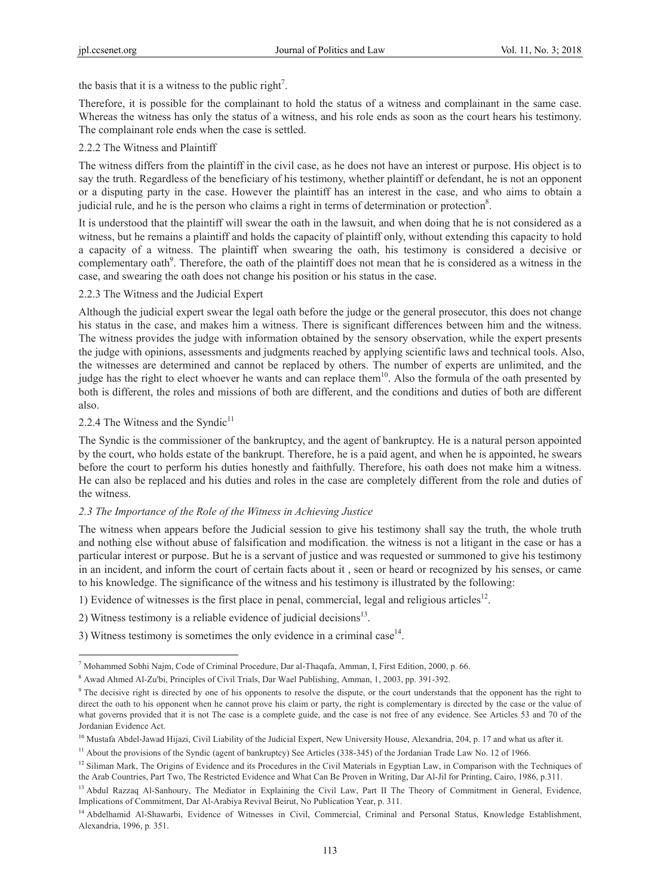the basis that it is a witness to the public right<sup>7</sup>.

Therefore, it is possible for the complainant to hold the status of a witness and complainant in the same case. Whereas the witness has only the status of a witness, and his role ends as soon as the court hears his testimony. The complainant role ends when the case is settled.

# 2.2.2 The Witness and Plaintiff

The witness differs from the plaintiff in the civil case, as he does not have an interest or purpose. His object is to say the truth. Regardless of the beneficiary of his testimony, whether plaintiff or defendant, he is not an opponent or a disputing party in the case. However the plaintiff has an interest in the case, and who aims to obtain a judicial rule, and he is the person who claims a right in terms of determination or protection<sup>8</sup>.

It is understood that the plaintiff will swear the oath in the lawsuit, and when doing that he is not considered as a witness, but he remains a plaintiff and holds the capacity of plaintiff only, without extending this capacity to hold a capacity of a witness. The plaintiff when swearing the oath, his testimony is considered a decisive or complementary oath<sup>9</sup>. Therefore, the oath of the plaintiff does not mean that he is considered as a witness in the case, and swearing the oath does not change his position or his status in the case.

#### 2.2.3 The Witness and the Judicial Expert

Although the judicial expert swear the legal oath before the judge or the general prosecutor, this does not change his status in the case, and makes him a witness. There is significant differences between him and the witness. The witness provides the judge with information obtained by the sensory observation, while the expert presents the judge with opinions, assessments and judgments reached by applying scientific laws and technical tools. Also, the witnesses are determined and cannot be replaced by others. The number of experts are unlimited, and the judge has the right to elect whoever he wants and can replace them<sup>10</sup>. Also the formula of the oath presented by both is different, the roles and missions of both are different, and the conditions and duties of both are different also.

#### 2.2.4 The Witness and the Syndic<sup>11</sup>

 $\overline{a}$ 

The Syndic is the commissioner of the bankruptcy, and the agent of bankruptcy. He is a natural person appointed by the court, who holds estate of the bankrupt. Therefore, he is a paid agent, and when he is appointed, he swears before the court to perform his duties honestly and faithfully. Therefore, his oath does not make him a witness. He can also be replaced and his duties and roles in the case are completely different from the role and duties of the witness.

# *2.3 The Importance of the Role of the Witness in Achieving Justice*

The witness when appears before the Judicial session to give his testimony shall say the truth, the whole truth and nothing else without abuse of falsification and modification. the witness is not a litigant in the case or has a particular interest or purpose. But he is a servant of justice and was requested or summoned to give his testimony in an incident, and inform the court of certain facts about it , seen or heard or recognized by his senses, or came to his knowledge. The significance of the witness and his testimony is illustrated by the following:

1) Evidence of witnesses is the first place in penal, commercial, legal and religious articles<sup>12</sup>.

2) Witness testimony is a reliable evidence of judicial decisions $^{13}$ .

3) Witness testimony is sometimes the only evidence in a criminal case $14$ .

<sup>7</sup> Mohammed Sobhi Najm, Code of Criminal Procedure, Dar al-Thaqafa, Amman, I, First Edition, 2000, p. 66.

<sup>8</sup> Awad Ahmed Al-Zu'bi, Principles of Civil Trials, Dar Wael Publishing, Amman, 1, 2003, pp. 391-392.

<sup>&</sup>lt;sup>9</sup> The decisive right is directed by one of his opponents to resolve the dispute, or the court understands that the opponent has the right to direct the oath to his opponent when he cannot prove his claim or party, the right is complementary is directed by the case or the value of what governs provided that it is not The case is a complete guide, and the case is not free of any evidence. See Articles 53 and 70 of the Jordanian Evidence Act.

<sup>&</sup>lt;sup>10</sup> Mustafa Abdel-Jawad Hijazi, Civil Liability of the Judicial Expert, New University House, Alexandria, 204, p. 17 and what us after it.

<sup>&</sup>lt;sup>11</sup> About the provisions of the Syndic (agent of bankruptcy) See Articles (338-345) of the Jordanian Trade Law No. 12 of 1966.

<sup>&</sup>lt;sup>12</sup> Siliman Mark, The Origins of Evidence and its Procedures in the Civil Materials in Egyptian Law, in Comparison with the Techniques of the Arab Countries, Part Two, The Restricted Evidence and What Can Be Proven in Writing, Dar Al-Jil for Printing, Cairo, 1986, p.311.

<sup>&</sup>lt;sup>13</sup> Abdul Razzaq Al-Sanhoury, The Mediator in Explaining the Civil Law, Part II The Theory of Commitment in General, Evidence, Implications of Commitment, Dar Al-Arabiya Revival Beirut, No Publication Year, p. 311.

<sup>&</sup>lt;sup>14</sup> Abdelhamid Al-Shawarbi, Evidence of Witnesses in Civil, Commercial, Criminal and Personal Status, Knowledge Establishment, Alexandria, 1996, p. 351.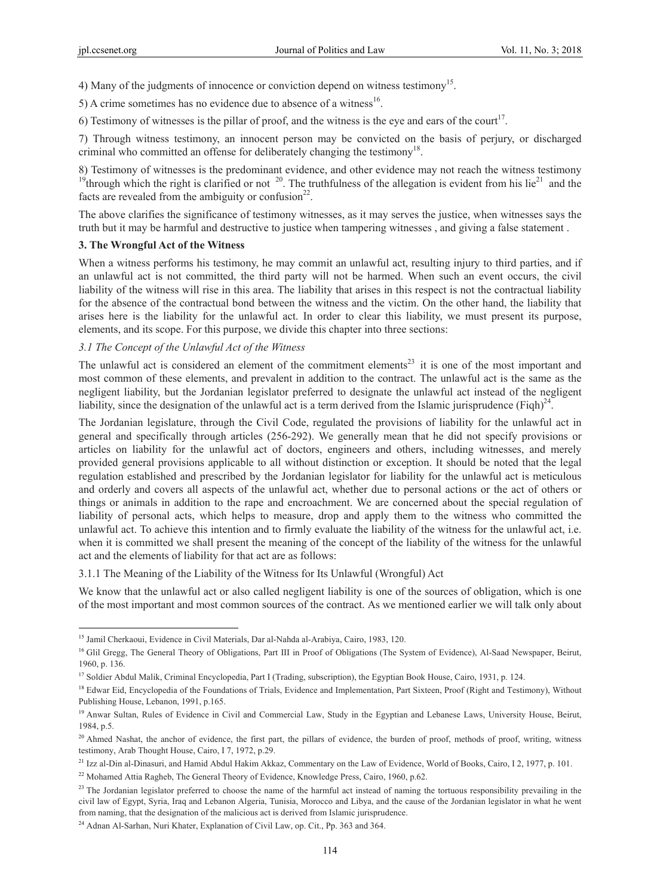$\overline{a}$ 

4) Many of the judgments of innocence or conviction depend on witness testimony<sup>15</sup>.

5) A crime sometimes has no evidence due to absence of a witness<sup>16</sup>.

6) Testimony of witnesses is the pillar of proof, and the witness is the eye and ears of the court<sup>17</sup>.

7) Through witness testimony, an innocent person may be convicted on the basis of perjury, or discharged criminal who committed an offense for deliberately changing the testimony<sup>18</sup>.

8) Testimony of witnesses is the predominant evidence, and other evidence may not reach the witness testimony <sup>19</sup>through which the right is clarified or not <sup>20</sup>. The truthfulness of the allegation is evident from his li facts are revealed from the ambiguity or confusion<sup>22</sup>.

The above clarifies the significance of testimony witnesses, as it may serves the justice, when witnesses says the truth but it may be harmful and destructive to justice when tampering witnesses , and giving a false statement .

# **3. The Wrongful Act of the Witness**

When a witness performs his testimony, he may commit an unlawful act, resulting injury to third parties, and if an unlawful act is not committed, the third party will not be harmed. When such an event occurs, the civil liability of the witness will rise in this area. The liability that arises in this respect is not the contractual liability for the absence of the contractual bond between the witness and the victim. On the other hand, the liability that arises here is the liability for the unlawful act. In order to clear this liability, we must present its purpose, elements, and its scope. For this purpose, we divide this chapter into three sections:

# *3.1 The Concept of the Unlawful Act of the Witness*

The unlawful act is considered an element of the commitment elements<sup>23</sup> it is one of the most important and most common of these elements, and prevalent in addition to the contract. The unlawful act is the same as the negligent liability, but the Jordanian legislator preferred to designate the unlawful act instead of the negligent liability, since the designation of the unlawful act is a term derived from the Islamic jurisprudence  $(Figh)^{24}$ .

The Jordanian legislature, through the Civil Code, regulated the provisions of liability for the unlawful act in general and specifically through articles (256-292). We generally mean that he did not specify provisions or articles on liability for the unlawful act of doctors, engineers and others, including witnesses, and merely provided general provisions applicable to all without distinction or exception. It should be noted that the legal regulation established and prescribed by the Jordanian legislator for liability for the unlawful act is meticulous and orderly and covers all aspects of the unlawful act, whether due to personal actions or the act of others or things or animals in addition to the rape and encroachment. We are concerned about the special regulation of liability of personal acts, which helps to measure, drop and apply them to the witness who committed the unlawful act. To achieve this intention and to firmly evaluate the liability of the witness for the unlawful act, i.e. when it is committed we shall present the meaning of the concept of the liability of the witness for the unlawful act and the elements of liability for that act are as follows:

3.1.1 The Meaning of the Liability of the Witness for Its Unlawful (Wrongful) Act

We know that the unlawful act or also called negligent liability is one of the sources of obligation, which is one of the most important and most common sources of the contract. As we mentioned earlier we will talk only about

<sup>&</sup>lt;sup>15</sup> Jamil Cherkaoui, Evidence in Civil Materials, Dar al-Nahda al-Arabiya, Cairo, 1983, 120.

<sup>&</sup>lt;sup>16</sup> Glil Gregg, The General Theory of Obligations, Part III in Proof of Obligations (The System of Evidence), Al-Saad Newspaper, Beirut, 1960, p. 136.

<sup>&</sup>lt;sup>17</sup> Soldier Abdul Malik, Criminal Encyclopedia, Part I (Trading, subscription), the Egyptian Book House, Cairo, 1931, p. 124.

<sup>&</sup>lt;sup>18</sup> Edwar Eid, Encyclopedia of the Foundations of Trials, Evidence and Implementation, Part Sixteen, Proof (Right and Testimony), Without Publishing House, Lebanon, 1991, p.165.

<sup>&</sup>lt;sup>19</sup> Anwar Sultan, Rules of Evidence in Civil and Commercial Law, Study in the Egyptian and Lebanese Laws, University House, Beirut, 1984, p.5.

<sup>&</sup>lt;sup>20</sup> Ahmed Nashat, the anchor of evidence, the first part, the pillars of evidence, the burden of proof, methods of proof, writing, witness testimony, Arab Thought House, Cairo, I 7, 1972, p.29.

<sup>&</sup>lt;sup>21</sup> Izz al-Din al-Dinasuri, and Hamid Abdul Hakim Akkaz, Commentary on the Law of Evidence, World of Books, Cairo, I 2, 1977, p. 101.

<sup>&</sup>lt;sup>22</sup> Mohamed Attia Ragheb, The General Theory of Evidence, Knowledge Press, Cairo, 1960, p.62.

 $^{23}$  The Jordanian legislator preferred to choose the name of the harmful act instead of naming the tortuous responsibility prevailing in the civil law of Egypt, Syria, Iraq and Lebanon Algeria, Tunisia, Morocco and Libya, and the cause of the Jordanian legislator in what he went from naming, that the designation of the malicious act is derived from Islamic jurisprudence.

<sup>&</sup>lt;sup>24</sup> Adnan Al-Sarhan, Nuri Khater, Explanation of Civil Law, op. Cit., Pp. 363 and 364.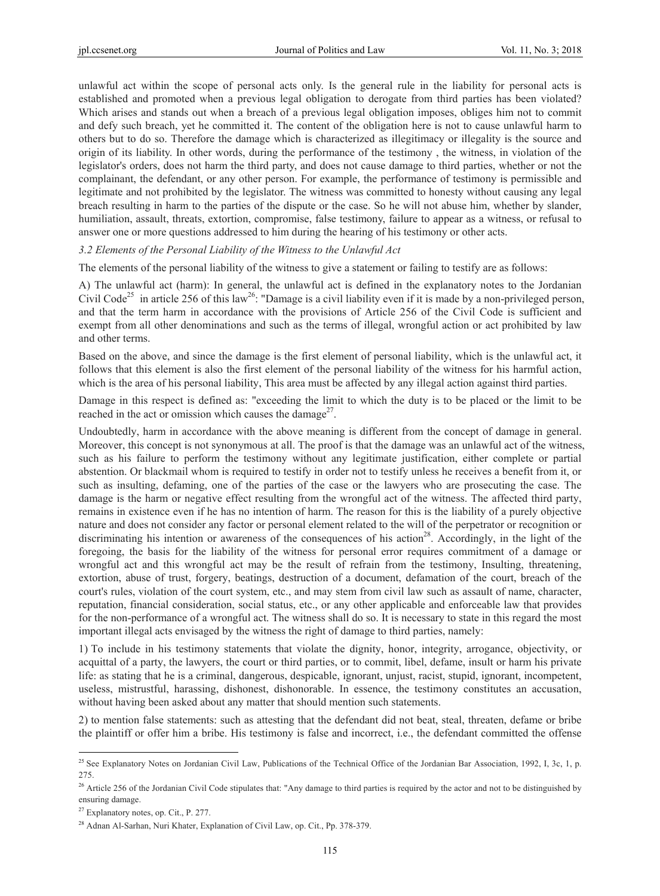unlawful act within the scope of personal acts only. Is the general rule in the liability for personal acts is established and promoted when a previous legal obligation to derogate from third parties has been violated? Which arises and stands out when a breach of a previous legal obligation imposes, obliges him not to commit and defy such breach, yet he committed it. The content of the obligation here is not to cause unlawful harm to others but to do so. Therefore the damage which is characterized as illegitimacy or illegality is the source and origin of its liability. In other words, during the performance of the testimony , the witness, in violation of the legislator's orders, does not harm the third party, and does not cause damage to third parties, whether or not the complainant, the defendant, or any other person. For example, the performance of testimony is permissible and legitimate and not prohibited by the legislator. The witness was committed to honesty without causing any legal breach resulting in harm to the parties of the dispute or the case. So he will not abuse him, whether by slander, humiliation, assault, threats, extortion, compromise, false testimony, failure to appear as a witness, or refusal to answer one or more questions addressed to him during the hearing of his testimony or other acts.

# *3.2 Elements of the Personal Liability of the Witness to the Unlawful Act*

The elements of the personal liability of the witness to give a statement or failing to testify are as follows:

A) The unlawful act (harm): In general, the unlawful act is defined in the explanatory notes to the Jordanian Civil Code<sup>25</sup> in article 256 of this law<sup>26</sup>: "Damage is a civil liability even if it is made by a non-privileged person, and that the term harm in accordance with the provisions of Article 256 of the Civil Code is sufficient and exempt from all other denominations and such as the terms of illegal, wrongful action or act prohibited by law and other terms.

Based on the above, and since the damage is the first element of personal liability, which is the unlawful act, it follows that this element is also the first element of the personal liability of the witness for his harmful action, which is the area of his personal liability. This area must be affected by any illegal action against third parties.

Damage in this respect is defined as: "exceeding the limit to which the duty is to be placed or the limit to be reached in the act or omission which causes the damage<sup>27</sup>.

Undoubtedly, harm in accordance with the above meaning is different from the concept of damage in general. Moreover, this concept is not synonymous at all. The proof is that the damage was an unlawful act of the witness, such as his failure to perform the testimony without any legitimate justification, either complete or partial abstention. Or blackmail whom is required to testify in order not to testify unless he receives a benefit from it, or such as insulting, defaming, one of the parties of the case or the lawyers who are prosecuting the case. The damage is the harm or negative effect resulting from the wrongful act of the witness. The affected third party, remains in existence even if he has no intention of harm. The reason for this is the liability of a purely objective nature and does not consider any factor or personal element related to the will of the perpetrator or recognition or discriminating his intention or awareness of the consequences of his action<sup>28</sup>. Accordingly, in the light of the foregoing, the basis for the liability of the witness for personal error requires commitment of a damage or wrongful act and this wrongful act may be the result of refrain from the testimony, Insulting, threatening, extortion, abuse of trust, forgery, beatings, destruction of a document, defamation of the court, breach of the court's rules, violation of the court system, etc., and may stem from civil law such as assault of name, character, reputation, financial consideration, social status, etc., or any other applicable and enforceable law that provides for the non-performance of a wrongful act. The witness shall do so. It is necessary to state in this regard the most important illegal acts envisaged by the witness the right of damage to third parties, namely:

1) To include in his testimony statements that violate the dignity, honor, integrity, arrogance, objectivity, or acquittal of a party, the lawyers, the court or third parties, or to commit, libel, defame, insult or harm his private life: as stating that he is a criminal, dangerous, despicable, ignorant, unjust, racist, stupid, ignorant, incompetent, useless, mistrustful, harassing, dishonest, dishonorable. In essence, the testimony constitutes an accusation, without having been asked about any matter that should mention such statements.

2) to mention false statements: such as attesting that the defendant did not beat, steal, threaten, defame or bribe the plaintiff or offer him a bribe. His testimony is false and incorrect, i.e., the defendant committed the offense

 $\overline{a}$ 

<sup>&</sup>lt;sup>25</sup> See Explanatory Notes on Jordanian Civil Law, Publications of the Technical Office of the Jordanian Bar Association, 1992, I, 3c, 1, p. 275.

<sup>&</sup>lt;sup>26</sup> Article 256 of the Jordanian Civil Code stipulates that: "Any damage to third parties is required by the actor and not to be distinguished by ensuring damage.

 $27$  Explanatory notes, op. Cit., P. 277.

<sup>&</sup>lt;sup>28</sup> Adnan Al-Sarhan, Nuri Khater, Explanation of Civil Law, op. Cit., Pp. 378-379.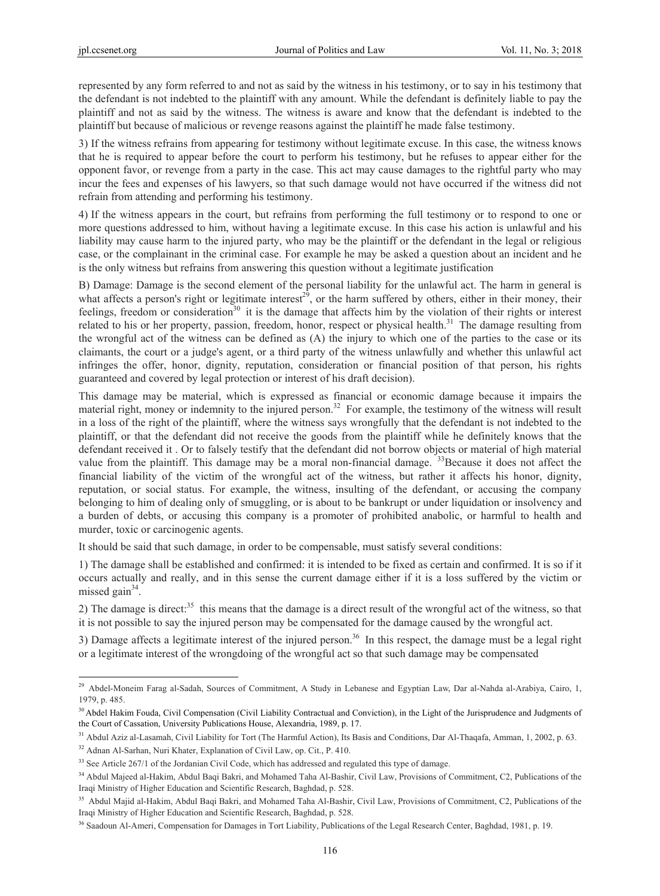represented by any form referred to and not as said by the witness in his testimony, or to say in his testimony that the defendant is not indebted to the plaintiff with any amount. While the defendant is definitely liable to pay the plaintiff and not as said by the witness. The witness is aware and know that the defendant is indebted to the plaintiff but because of malicious or revenge reasons against the plaintiff he made false testimony.

3) If the witness refrains from appearing for testimony without legitimate excuse. In this case, the witness knows that he is required to appear before the court to perform his testimony, but he refuses to appear either for the opponent favor, or revenge from a party in the case. This act may cause damages to the rightful party who may incur the fees and expenses of his lawyers, so that such damage would not have occurred if the witness did not refrain from attending and performing his testimony.

4) If the witness appears in the court, but refrains from performing the full testimony or to respond to one or more questions addressed to him, without having a legitimate excuse. In this case his action is unlawful and his liability may cause harm to the injured party, who may be the plaintiff or the defendant in the legal or religious case, or the complainant in the criminal case. For example he may be asked a question about an incident and he is the only witness but refrains from answering this question without a legitimate justification

B) Damage: Damage is the second element of the personal liability for the unlawful act. The harm in general is what affects a person's right or legitimate interest<sup>29</sup>, or the harm suffered by others, either in their money, their feelings, freedom or consideration<sup>30</sup> it is the damage that affects him by the violation of their rights or interest related to his or her property, passion, freedom, honor, respect or physical health. $31$  The damage resulting from the wrongful act of the witness can be defined as (A) the injury to which one of the parties to the case or its claimants, the court or a judge's agent, or a third party of the witness unlawfully and whether this unlawful act infringes the offer, honor, dignity, reputation, consideration or financial position of that person, his rights guaranteed and covered by legal protection or interest of his draft decision).

This damage may be material, which is expressed as financial or economic damage because it impairs the material right, money or indemnity to the injured person.<sup>32</sup> For example, the testimony of the witness will result in a loss of the right of the plaintiff, where the witness says wrongfully that the defendant is not indebted to the plaintiff, or that the defendant did not receive the goods from the plaintiff while he definitely knows that the defendant received it . Or to falsely testify that the defendant did not borrow objects or material of high material value from the plaintiff. This damage may be a moral non-financial damage. <sup>33</sup>Because it does not affect the financial liability of the victim of the wrongful act of the witness, but rather it affects his honor, dignity, reputation, or social status. For example, the witness, insulting of the defendant, or accusing the company belonging to him of dealing only of smuggling, or is about to be bankrupt or under liquidation or insolvency and a burden of debts, or accusing this company is a promoter of prohibited anabolic, or harmful to health and murder, toxic or carcinogenic agents.

It should be said that such damage, in order to be compensable, must satisfy several conditions:

1) The damage shall be established and confirmed: it is intended to be fixed as certain and confirmed. It is so if it occurs actually and really, and in this sense the current damage either if it is a loss suffered by the victim or missed gain $34$ .

2) The damage is direct:<sup>35</sup> this means that the damage is a direct result of the wrongful act of the witness, so that it is not possible to say the injured person may be compensated for the damage caused by the wrongful act.

3) Damage affects a legitimate interest of the injured person.<sup>36</sup> In this respect, the damage must be a legal right or a legitimate interest of the wrongdoing of the wrongful act so that such damage may be compensated

 $\overline{a}$ 

<sup>&</sup>lt;sup>29</sup> Abdel-Moneim Farag al-Sadah, Sources of Commitment, A Study in Lebanese and Egyptian Law, Dar al-Nahda al-Arabiya, Cairo, 1, 1979, p. 485.

<sup>&</sup>lt;sup>30</sup> Abdel Hakim Fouda, Civil Compensation (Civil Liability Contractual and Conviction), in the Light of the Jurisprudence and Judgments of the Court of Cassation, University Publications House, Alexandria, 1989, p. 17.

<sup>&</sup>lt;sup>31</sup> Abdul Aziz al-Lasamah, Civil Liability for Tort (The Harmful Action), Its Basis and Conditions, Dar Al-Thaqafa, Amman, 1, 2002, p. 63.

<sup>32</sup> Adnan Al-Sarhan, Nuri Khater, Explanation of Civil Law, op. Cit., P. 410.

<sup>&</sup>lt;sup>33</sup> See Article 267/1 of the Jordanian Civil Code, which has addressed and regulated this type of damage.

<sup>&</sup>lt;sup>34</sup> Abdul Majeed al-Hakim, Abdul Baqi Bakri, and Mohamed Taha Al-Bashir, Civil Law, Provisions of Commitment, C2, Publications of the Iraqi Ministry of Higher Education and Scientific Research, Baghdad, p. 528.

<sup>&</sup>lt;sup>35</sup> Abdul Majid al-Hakim, Abdul Baqi Bakri, and Mohamed Taha Al-Bashir, Civil Law, Provisions of Commitment, C2, Publications of the Iraqi Ministry of Higher Education and Scientific Research, Baghdad, p. 528.

<sup>&</sup>lt;sup>36</sup> Saadoun Al-Ameri, Compensation for Damages in Tort Liability, Publications of the Legal Research Center, Baghdad, 1981, p. 19.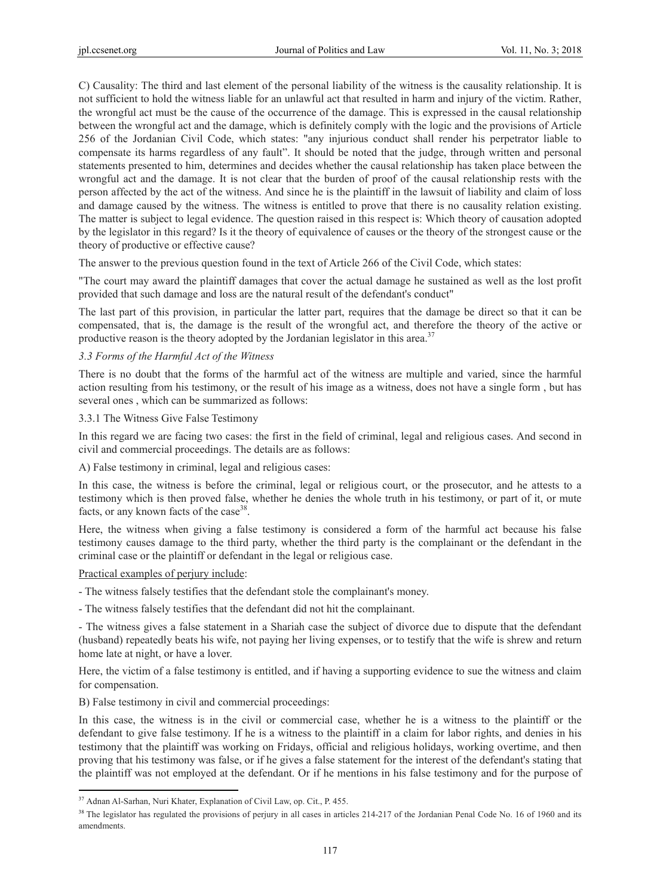C) Causality: The third and last element of the personal liability of the witness is the causality relationship. It is not sufficient to hold the witness liable for an unlawful act that resulted in harm and injury of the victim. Rather, the wrongful act must be the cause of the occurrence of the damage. This is expressed in the causal relationship between the wrongful act and the damage, which is definitely comply with the logic and the provisions of Article 256 of the Jordanian Civil Code, which states: "any injurious conduct shall render his perpetrator liable to compensate its harms regardless of any fault". It should be noted that the judge, through written and personal statements presented to him, determines and decides whether the causal relationship has taken place between the wrongful act and the damage. It is not clear that the burden of proof of the causal relationship rests with the person affected by the act of the witness. And since he is the plaintiff in the lawsuit of liability and claim of loss and damage caused by the witness. The witness is entitled to prove that there is no causality relation existing. The matter is subject to legal evidence. The question raised in this respect is: Which theory of causation adopted by the legislator in this regard? Is it the theory of equivalence of causes or the theory of the strongest cause or the theory of productive or effective cause?

The answer to the previous question found in the text of Article 266 of the Civil Code, which states:

"The court may award the plaintiff damages that cover the actual damage he sustained as well as the lost profit provided that such damage and loss are the natural result of the defendant's conduct"

The last part of this provision, in particular the latter part, requires that the damage be direct so that it can be compensated, that is, the damage is the result of the wrongful act, and therefore the theory of the active or productive reason is the theory adopted by the Jordanian legislator in this area.<sup>37</sup>

# *3.3 Forms of the Harmful Act of the Witness*

There is no doubt that the forms of the harmful act of the witness are multiple and varied, since the harmful action resulting from his testimony, or the result of his image as a witness, does not have a single form , but has several ones , which can be summarized as follows:

# 3.3.1 The Witness Give False Testimony

In this regard we are facing two cases: the first in the field of criminal, legal and religious cases. And second in civil and commercial proceedings. The details are as follows:

A) False testimony in criminal, legal and religious cases:

In this case, the witness is before the criminal, legal or religious court, or the prosecutor, and he attests to a testimony which is then proved false, whether he denies the whole truth in his testimony, or part of it, or mute facts, or any known facts of the case  $38$ .

Here, the witness when giving a false testimony is considered a form of the harmful act because his false testimony causes damage to the third party, whether the third party is the complainant or the defendant in the criminal case or the plaintiff or defendant in the legal or religious case.

Practical examples of perjury include:

 $\overline{a}$ 

- The witness falsely testifies that the defendant stole the complainant's money.
- The witness falsely testifies that the defendant did not hit the complainant.

- The witness gives a false statement in a Shariah case the subject of divorce due to dispute that the defendant (husband) repeatedly beats his wife, not paying her living expenses, or to testify that the wife is shrew and return home late at night, or have a lover.

Here, the victim of a false testimony is entitled, and if having a supporting evidence to sue the witness and claim for compensation.

B) False testimony in civil and commercial proceedings:

In this case, the witness is in the civil or commercial case, whether he is a witness to the plaintiff or the defendant to give false testimony. If he is a witness to the plaintiff in a claim for labor rights, and denies in his testimony that the plaintiff was working on Fridays, official and religious holidays, working overtime, and then proving that his testimony was false, or if he gives a false statement for the interest of the defendant's stating that the plaintiff was not employed at the defendant. Or if he mentions in his false testimony and for the purpose of

<sup>37</sup> Adnan Al-Sarhan, Nuri Khater, Explanation of Civil Law, op. Cit., P. 455.

<sup>&</sup>lt;sup>38</sup> The legislator has regulated the provisions of perjury in all cases in articles 214-217 of the Jordanian Penal Code No. 16 of 1960 and its amendments.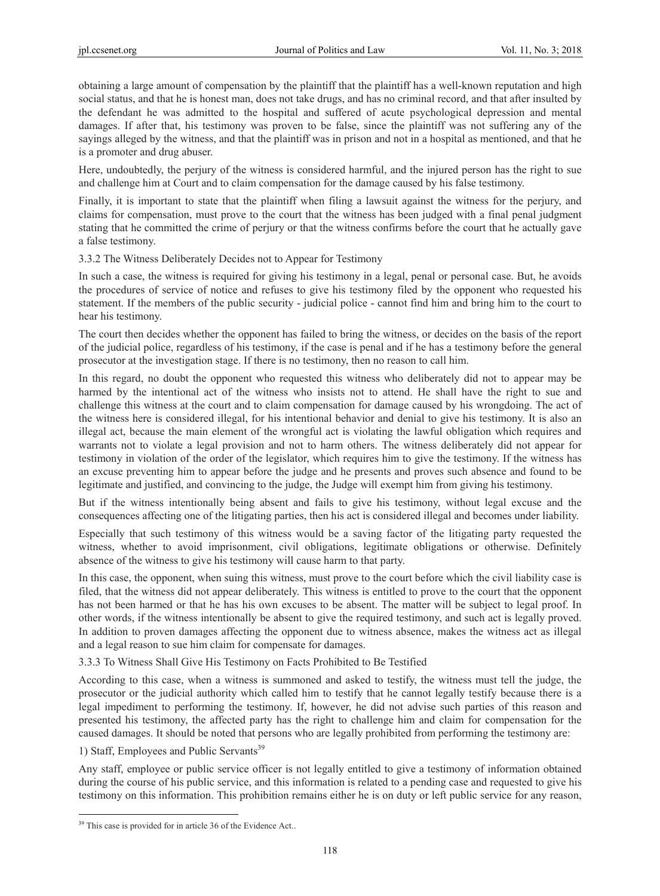obtaining a large amount of compensation by the plaintiff that the plaintiff has a well-known reputation and high social status, and that he is honest man, does not take drugs, and has no criminal record, and that after insulted by the defendant he was admitted to the hospital and suffered of acute psychological depression and mental damages. If after that, his testimony was proven to be false, since the plaintiff was not suffering any of the sayings alleged by the witness, and that the plaintiff was in prison and not in a hospital as mentioned, and that he is a promoter and drug abuser.

Here, undoubtedly, the perjury of the witness is considered harmful, and the injured person has the right to sue and challenge him at Court and to claim compensation for the damage caused by his false testimony.

Finally, it is important to state that the plaintiff when filing a lawsuit against the witness for the perjury, and claims for compensation, must prove to the court that the witness has been judged with a final penal judgment stating that he committed the crime of perjury or that the witness confirms before the court that he actually gave a false testimony.

3.3.2 The Witness Deliberately Decides not to Appear for Testimony

In such a case, the witness is required for giving his testimony in a legal, penal or personal case. But, he avoids the procedures of service of notice and refuses to give his testimony filed by the opponent who requested his statement. If the members of the public security - judicial police - cannot find him and bring him to the court to hear his testimony.

The court then decides whether the opponent has failed to bring the witness, or decides on the basis of the report of the judicial police, regardless of his testimony, if the case is penal and if he has a testimony before the general prosecutor at the investigation stage. If there is no testimony, then no reason to call him.

In this regard, no doubt the opponent who requested this witness who deliberately did not to appear may be harmed by the intentional act of the witness who insists not to attend. He shall have the right to sue and challenge this witness at the court and to claim compensation for damage caused by his wrongdoing. The act of the witness here is considered illegal, for his intentional behavior and denial to give his testimony. It is also an illegal act, because the main element of the wrongful act is violating the lawful obligation which requires and warrants not to violate a legal provision and not to harm others. The witness deliberately did not appear for testimony in violation of the order of the legislator, which requires him to give the testimony. If the witness has an excuse preventing him to appear before the judge and he presents and proves such absence and found to be legitimate and justified, and convincing to the judge, the Judge will exempt him from giving his testimony.

But if the witness intentionally being absent and fails to give his testimony, without legal excuse and the consequences affecting one of the litigating parties, then his act is considered illegal and becomes under liability.

Especially that such testimony of this witness would be a saving factor of the litigating party requested the witness, whether to avoid imprisonment, civil obligations, legitimate obligations or otherwise. Definitely absence of the witness to give his testimony will cause harm to that party.

In this case, the opponent, when suing this witness, must prove to the court before which the civil liability case is filed, that the witness did not appear deliberately. This witness is entitled to prove to the court that the opponent has not been harmed or that he has his own excuses to be absent. The matter will be subject to legal proof. In other words, if the witness intentionally be absent to give the required testimony, and such act is legally proved. In addition to proven damages affecting the opponent due to witness absence, makes the witness act as illegal and a legal reason to sue him claim for compensate for damages.

3.3.3 To Witness Shall Give His Testimony on Facts Prohibited to Be Testified

According to this case, when a witness is summoned and asked to testify, the witness must tell the judge, the prosecutor or the judicial authority which called him to testify that he cannot legally testify because there is a legal impediment to performing the testimony. If, however, he did not advise such parties of this reason and presented his testimony, the affected party has the right to challenge him and claim for compensation for the caused damages. It should be noted that persons who are legally prohibited from performing the testimony are:

1) Staff, Employees and Public Servants<sup>39</sup>

 $\overline{a}$ 

Any staff, employee or public service officer is not legally entitled to give a testimony of information obtained during the course of his public service, and this information is related to a pending case and requested to give his testimony on this information. This prohibition remains either he is on duty or left public service for any reason,

<sup>&</sup>lt;sup>39</sup> This case is provided for in article 36 of the Evidence Act..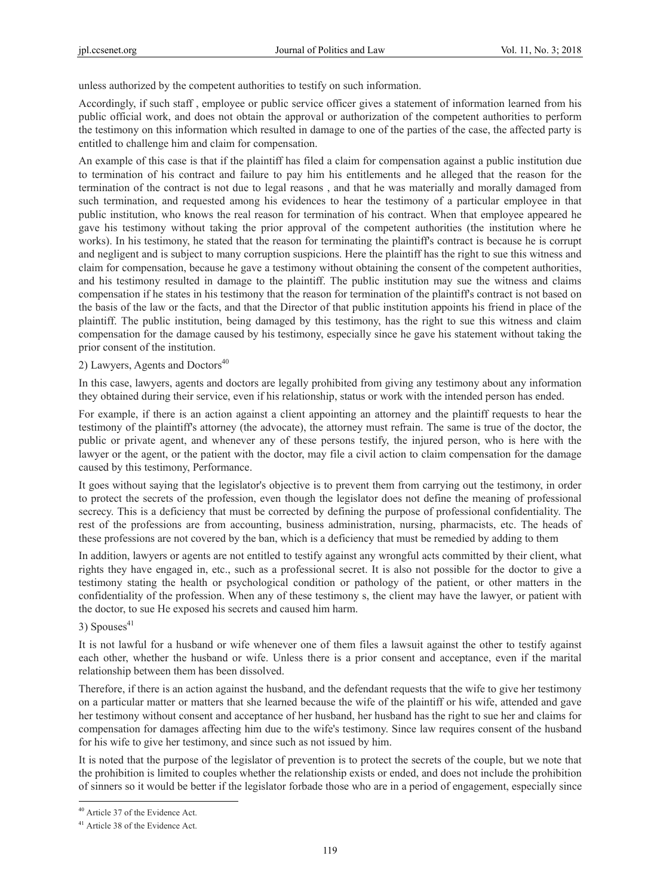unless authorized by the competent authorities to testify on such information.

Accordingly, if such staff , employee or public service officer gives a statement of information learned from his public official work, and does not obtain the approval or authorization of the competent authorities to perform the testimony on this information which resulted in damage to one of the parties of the case, the affected party is entitled to challenge him and claim for compensation.

An example of this case is that if the plaintiff has filed a claim for compensation against a public institution due to termination of his contract and failure to pay him his entitlements and he alleged that the reason for the termination of the contract is not due to legal reasons , and that he was materially and morally damaged from such termination, and requested among his evidences to hear the testimony of a particular employee in that public institution, who knows the real reason for termination of his contract. When that employee appeared he gave his testimony without taking the prior approval of the competent authorities (the institution where he works). In his testimony, he stated that the reason for terminating the plaintiff's contract is because he is corrupt and negligent and is subject to many corruption suspicions. Here the plaintiff has the right to sue this witness and claim for compensation, because he gave a testimony without obtaining the consent of the competent authorities, and his testimony resulted in damage to the plaintiff. The public institution may sue the witness and claims compensation if he states in his testimony that the reason for termination of the plaintiff's contract is not based on the basis of the law or the facts, and that the Director of that public institution appoints his friend in place of the plaintiff. The public institution, being damaged by this testimony, has the right to sue this witness and claim compensation for the damage caused by his testimony, especially since he gave his statement without taking the prior consent of the institution.

# 2) Lawyers, Agents and Doctors<sup>40</sup>

In this case, lawyers, agents and doctors are legally prohibited from giving any testimony about any information they obtained during their service, even if his relationship, status or work with the intended person has ended.

For example, if there is an action against a client appointing an attorney and the plaintiff requests to hear the testimony of the plaintiff's attorney (the advocate), the attorney must refrain. The same is true of the doctor, the public or private agent, and whenever any of these persons testify, the injured person, who is here with the lawyer or the agent, or the patient with the doctor, may file a civil action to claim compensation for the damage caused by this testimony, Performance.

It goes without saying that the legislator's objective is to prevent them from carrying out the testimony, in order to protect the secrets of the profession, even though the legislator does not define the meaning of professional secrecy. This is a deficiency that must be corrected by defining the purpose of professional confidentiality. The rest of the professions are from accounting, business administration, nursing, pharmacists, etc. The heads of these professions are not covered by the ban, which is a deficiency that must be remedied by adding to them

In addition, lawyers or agents are not entitled to testify against any wrongful acts committed by their client, what rights they have engaged in, etc., such as a professional secret. It is also not possible for the doctor to give a testimony stating the health or psychological condition or pathology of the patient, or other matters in the confidentiality of the profession. When any of these testimony s, the client may have the lawyer, or patient with the doctor, to sue He exposed his secrets and caused him harm.

# 3) Spouses $41$

It is not lawful for a husband or wife whenever one of them files a lawsuit against the other to testify against each other, whether the husband or wife. Unless there is a prior consent and acceptance, even if the marital relationship between them has been dissolved.

Therefore, if there is an action against the husband, and the defendant requests that the wife to give her testimony on a particular matter or matters that she learned because the wife of the plaintiff or his wife, attended and gave her testimony without consent and acceptance of her husband, her husband has the right to sue her and claims for compensation for damages affecting him due to the wife's testimony. Since law requires consent of the husband for his wife to give her testimony, and since such as not issued by him.

It is noted that the purpose of the legislator of prevention is to protect the secrets of the couple, but we note that the prohibition is limited to couples whether the relationship exists or ended, and does not include the prohibition of sinners so it would be better if the legislator forbade those who are in a period of engagement, especially since

 $\overline{a}$ 

<sup>40</sup> Article 37 of the Evidence Act.

<sup>&</sup>lt;sup>41</sup> Article 38 of the Evidence Act.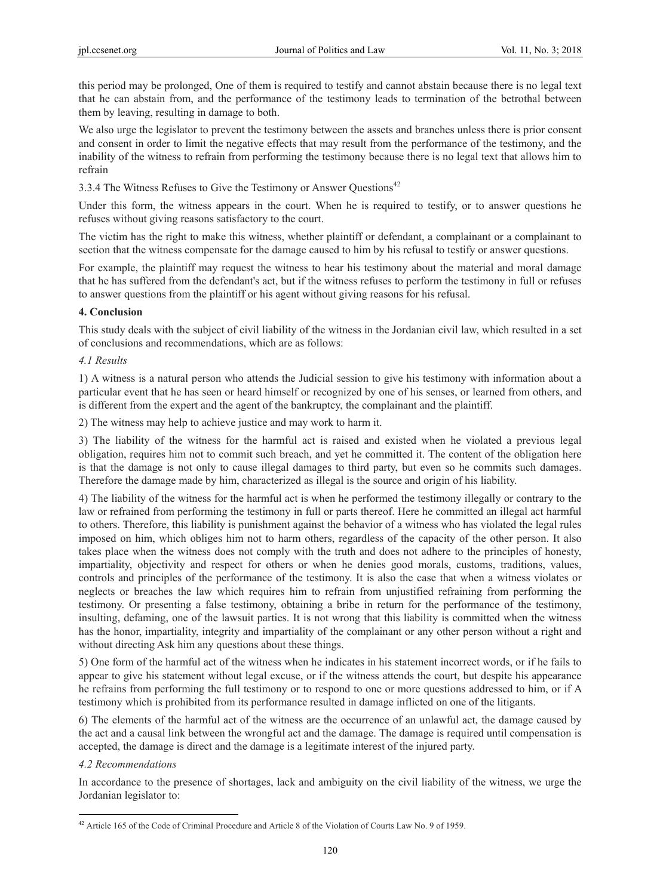this period may be prolonged, One of them is required to testify and cannot abstain because there is no legal text that he can abstain from, and the performance of the testimony leads to termination of the betrothal between them by leaving, resulting in damage to both.

We also urge the legislator to prevent the testimony between the assets and branches unless there is prior consent and consent in order to limit the negative effects that may result from the performance of the testimony, and the inability of the witness to refrain from performing the testimony because there is no legal text that allows him to refrain

3.3.4 The Witness Refuses to Give the Testimony or Answer Questions<sup>42</sup>

Under this form, the witness appears in the court. When he is required to testify, or to answer questions he refuses without giving reasons satisfactory to the court.

The victim has the right to make this witness, whether plaintiff or defendant, a complainant or a complainant to section that the witness compensate for the damage caused to him by his refusal to testify or answer questions.

For example, the plaintiff may request the witness to hear his testimony about the material and moral damage that he has suffered from the defendant's act, but if the witness refuses to perform the testimony in full or refuses to answer questions from the plaintiff or his agent without giving reasons for his refusal.

# **4. Conclusion**

This study deals with the subject of civil liability of the witness in the Jordanian civil law, which resulted in a set of conclusions and recommendations, which are as follows:

#### *4.1 Results*

1) A witness is a natural person who attends the Judicial session to give his testimony with information about a particular event that he has seen or heard himself or recognized by one of his senses, or learned from others, and is different from the expert and the agent of the bankruptcy, the complainant and the plaintiff.

2) The witness may help to achieve justice and may work to harm it.

3) The liability of the witness for the harmful act is raised and existed when he violated a previous legal obligation, requires him not to commit such breach, and yet he committed it. The content of the obligation here is that the damage is not only to cause illegal damages to third party, but even so he commits such damages. Therefore the damage made by him, characterized as illegal is the source and origin of his liability.

4) The liability of the witness for the harmful act is when he performed the testimony illegally or contrary to the law or refrained from performing the testimony in full or parts thereof. Here he committed an illegal act harmful to others. Therefore, this liability is punishment against the behavior of a witness who has violated the legal rules imposed on him, which obliges him not to harm others, regardless of the capacity of the other person. It also takes place when the witness does not comply with the truth and does not adhere to the principles of honesty, impartiality, objectivity and respect for others or when he denies good morals, customs, traditions, values, controls and principles of the performance of the testimony. It is also the case that when a witness violates or neglects or breaches the law which requires him to refrain from unjustified refraining from performing the testimony. Or presenting a false testimony, obtaining a bribe in return for the performance of the testimony, insulting, defaming, one of the lawsuit parties. It is not wrong that this liability is committed when the witness has the honor, impartiality, integrity and impartiality of the complainant or any other person without a right and without directing Ask him any questions about these things.

5) One form of the harmful act of the witness when he indicates in his statement incorrect words, or if he fails to appear to give his statement without legal excuse, or if the witness attends the court, but despite his appearance he refrains from performing the full testimony or to respond to one or more questions addressed to him, or if A testimony which is prohibited from its performance resulted in damage inflicted on one of the litigants.

6) The elements of the harmful act of the witness are the occurrence of an unlawful act, the damage caused by the act and a causal link between the wrongful act and the damage. The damage is required until compensation is accepted, the damage is direct and the damage is a legitimate interest of the injured party.

#### *4.2 Recommendations*

 $\overline{a}$ 

In accordance to the presence of shortages, lack and ambiguity on the civil liability of the witness, we urge the Jordanian legislator to:

<sup>42</sup> Article 165 of the Code of Criminal Procedure and Article 8 of the Violation of Courts Law No. 9 of 1959.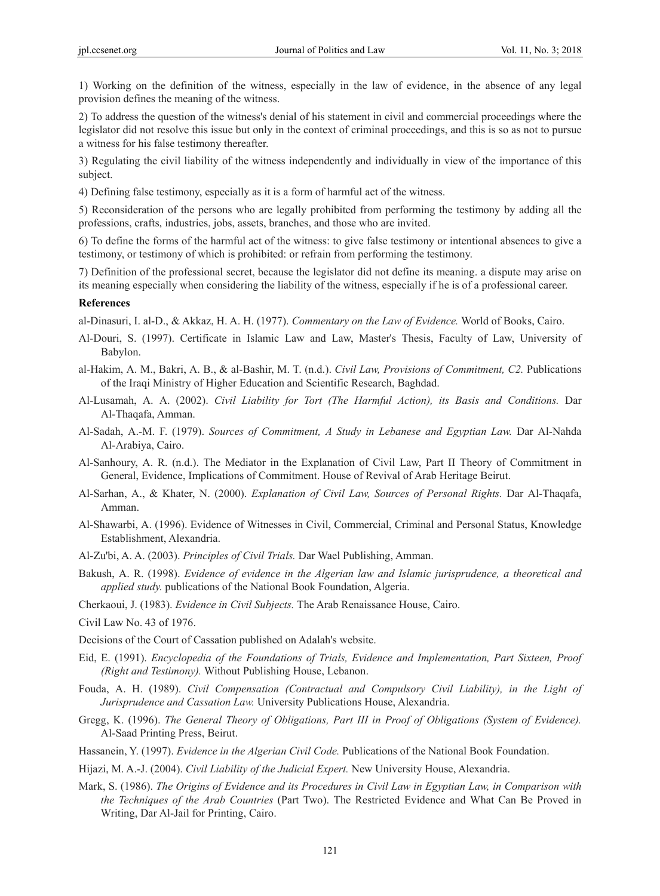1) Working on the definition of the witness, especially in the law of evidence, in the absence of any legal provision defines the meaning of the witness.

2) To address the question of the witness's denial of his statement in civil and commercial proceedings where the legislator did not resolve this issue but only in the context of criminal proceedings, and this is so as not to pursue a witness for his false testimony thereafter.

3) Regulating the civil liability of the witness independently and individually in view of the importance of this subject.

4) Defining false testimony, especially as it is a form of harmful act of the witness.

5) Reconsideration of the persons who are legally prohibited from performing the testimony by adding all the professions, crafts, industries, jobs, assets, branches, and those who are invited.

6) To define the forms of the harmful act of the witness: to give false testimony or intentional absences to give a testimony, or testimony of which is prohibited: or refrain from performing the testimony.

7) Definition of the professional secret, because the legislator did not define its meaning. a dispute may arise on its meaning especially when considering the liability of the witness, especially if he is of a professional career.

#### **References**

al-Dinasuri, I. al-D., & Akkaz, H. A. H. (1977). *Commentary on the Law of Evidence.* World of Books, Cairo.

- Al-Douri, S. (1997). Certificate in Islamic Law and Law, Master's Thesis, Faculty of Law, University of Babylon.
- al-Hakim, A. M., Bakri, A. B., & al-Bashir, M. T. (n.d.). *Civil Law, Provisions of Commitment, C2.* Publications of the Iraqi Ministry of Higher Education and Scientific Research, Baghdad.
- Al-Lusamah, A. A. (2002). *Civil Liability for Tort (The Harmful Action), its Basis and Conditions.* Dar Al-Thaqafa, Amman.
- Al-Sadah, A.-M. F. (1979). *Sources of Commitment, A Study in Lebanese and Egyptian Law.* Dar Al-Nahda Al-Arabiya, Cairo.
- Al-Sanhoury, A. R. (n.d.). The Mediator in the Explanation of Civil Law, Part II Theory of Commitment in General, Evidence, Implications of Commitment. House of Revival of Arab Heritage Beirut.
- Al-Sarhan, A., & Khater, N. (2000). *Explanation of Civil Law, Sources of Personal Rights.* Dar Al-Thaqafa, Amman.
- Al-Shawarbi, A. (1996). Evidence of Witnesses in Civil, Commercial, Criminal and Personal Status, Knowledge Establishment, Alexandria.
- Al-Zu'bi, A. A. (2003). *Principles of Civil Trials.* Dar Wael Publishing, Amman.
- Bakush, A. R. (1998). *Evidence of evidence in the Algerian law and Islamic jurisprudence, a theoretical and applied study.* publications of the National Book Foundation, Algeria.
- Cherkaoui, J. (1983). *Evidence in Civil Subjects.* The Arab Renaissance House, Cairo.

Civil Law No. 43 of 1976.

- Decisions of the Court of Cassation published on Adalah's website.
- Eid, E. (1991). *Encyclopedia of the Foundations of Trials, Evidence and Implementation, Part Sixteen, Proof (Right and Testimony).* Without Publishing House, Lebanon.
- Fouda, A. H. (1989). *Civil Compensation (Contractual and Compulsory Civil Liability), in the Light of Jurisprudence and Cassation Law.* University Publications House, Alexandria.
- Gregg, K. (1996). *The General Theory of Obligations, Part III in Proof of Obligations (System of Evidence).* Al-Saad Printing Press, Beirut.
- Hassanein, Y. (1997). *Evidence in the Algerian Civil Code.* Publications of the National Book Foundation.
- Hijazi, M. A.-J. (2004). *Civil Liability of the Judicial Expert.* New University House, Alexandria.
- Mark, S. (1986). *The Origins of Evidence and its Procedures in Civil Law in Egyptian Law, in Comparison with the Techniques of the Arab Countries* (Part Two). The Restricted Evidence and What Can Be Proved in Writing, Dar Al-Jail for Printing, Cairo.